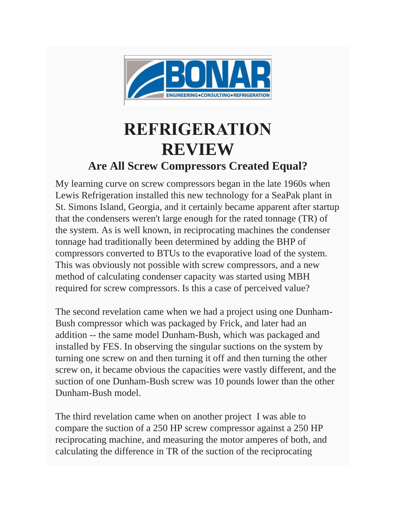

## **REFRIGERATION REVIEW**

## **Are All Screw Compressors Created Equal?**

My learning curve on screw compressors began in the late 1960s when Lewis Refrigeration installed this new technology for a SeaPak plant in St. Simons Island, Georgia, and it certainly became apparent after startup that the condensers weren't large enough for the rated tonnage (TR) of the system. As is well known, in reciprocating machines the condenser tonnage had traditionally been determined by adding the BHP of compressors converted to BTUs to the evaporative load of the system. This was obviously not possible with screw compressors, and a new method of calculating condenser capacity was started using MBH required for screw compressors. Is this a case of perceived value?

The second revelation came when we had a project using one Dunham-Bush compressor which was packaged by Frick, and later had an addition -- the same model Dunham-Bush, which was packaged and installed by FES. In observing the singular suctions on the system by turning one screw on and then turning it off and then turning the other screw on, it became obvious the capacities were vastly different, and the suction of one Dunham-Bush screw was 10 pounds lower than the other Dunham-Bush model.

The third revelation came when on another project I was able to compare the suction of a 250 HP screw compressor against a 250 HP reciprocating machine, and measuring the motor amperes of both, and calculating the difference in TR of the suction of the reciprocating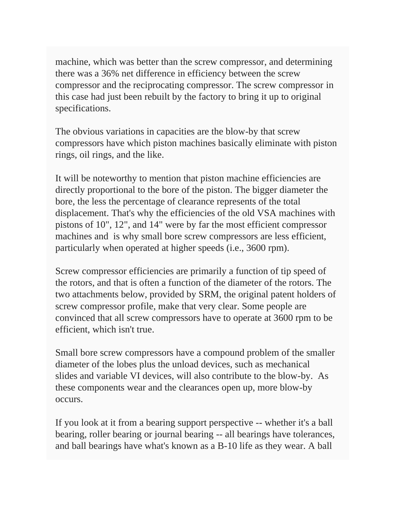machine, which was better than the screw compressor, and determining there was a 36% net difference in efficiency between the screw compressor and the reciprocating compressor. The screw compressor in this case had just been rebuilt by the factory to bring it up to original specifications.

The obvious variations in capacities are the blow-by that screw compressors have which piston machines basically eliminate with piston rings, oil rings, and the like.

It will be noteworthy to mention that piston machine efficiencies are directly proportional to the bore of the piston. The bigger diameter the bore, the less the percentage of clearance represents of the total displacement. That's why the efficiencies of the old VSA machines with pistons of 10", 12", and 14" were by far the most efficient compressor machines and is why small bore screw compressors are less efficient, particularly when operated at higher speeds (i.e., 3600 rpm).

Screw compressor efficiencies are primarily a function of tip speed of the rotors, and that is often a function of the diameter of the rotors. The two attachments below, provided by SRM, the original patent holders of screw compressor profile, make that very clear. Some people are convinced that all screw compressors have to operate at 3600 rpm to be efficient, which isn't true.

Small bore screw compressors have a compound problem of the smaller diameter of the lobes plus the unload devices, such as mechanical slides and variable VI devices, will also contribute to the blow-by. As these components wear and the clearances open up, more blow-by occurs.

If you look at it from a bearing support perspective -- whether it's a ball bearing, roller bearing or journal bearing -- all bearings have tolerances, and ball bearings have what's known as a B-10 life as they wear. A ball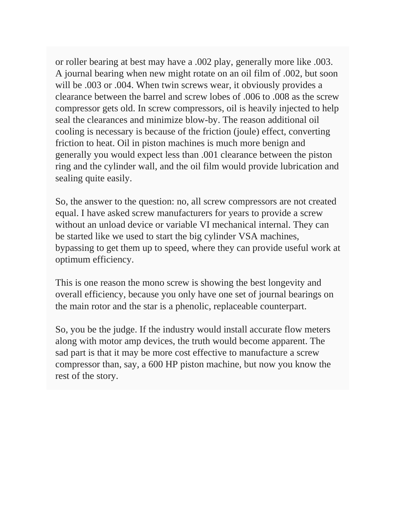or roller bearing at best may have a .002 play, generally more like .003. A journal bearing when new might rotate on an oil film of .002, but soon will be .003 or .004. When twin screws wear, it obviously provides a clearance between the barrel and screw lobes of .006 to .008 as the screw compressor gets old. In screw compressors, oil is heavily injected to help seal the clearances and minimize blow-by. The reason additional oil cooling is necessary is because of the friction (joule) effect, converting friction to heat. Oil in piston machines is much more benign and generally you would expect less than .001 clearance between the piston ring and the cylinder wall, and the oil film would provide lubrication and sealing quite easily.

So, the answer to the question: no, all screw compressors are not created equal. I have asked screw manufacturers for years to provide a screw without an unload device or variable VI mechanical internal. They can be started like we used to start the big cylinder VSA machines, bypassing to get them up to speed, where they can provide useful work at optimum efficiency.

This is one reason the mono screw is showing the best longevity and overall efficiency, because you only have one set of journal bearings on the main rotor and the star is a phenolic, replaceable counterpart.

So, you be the judge. If the industry would install accurate flow meters along with motor amp devices, the truth would become apparent. The sad part is that it may be more cost effective to manufacture a screw compressor than, say, a 600 HP piston machine, but now you know the rest of the story.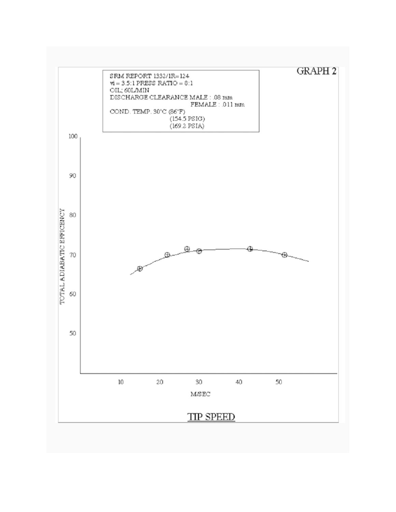